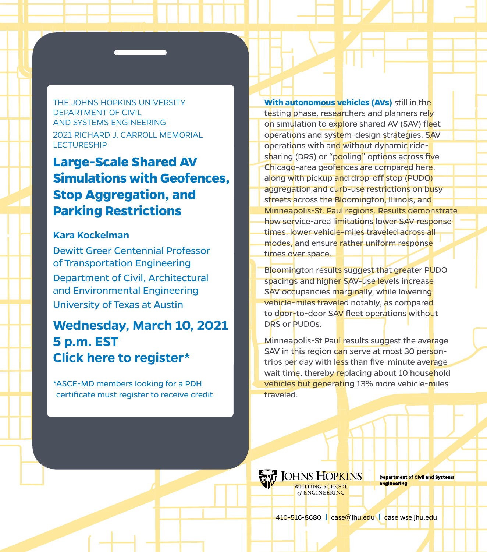THE JOHNS HOPKINS UNIVERSITY DEPARTMENT OF CIVIL AND SYSTEMS ENGINEERING 2021 RICHARD J. CARROLL MEMORIAL **LECTURESHIP** 

# **Large-Scale Shared AV Simulations with Geofences, Stop Aggregation, and Parking Restrictions**

#### **Kara Kockelman**

Dewitt Greer Centennial Professor of Transportation Engineering Department of Civil, Architectural and Environmental Engineering University of Texas at Austin

## **Wednesday, March 10, 2021 5 p.m. EST [Click here to register\\*](https://wse.zoom.us/meeting/register/tJUvduGsrjsuH91RMxPACaRXQmfwTzIIrVlm)**

\*ASCE-MD members looking for a PDH certificate must register to receive credit **With autonomous vehicles (AVs)** still in the testing phase, researchers and planners rely on simulation to explore shared AV (SAV) fleet operations and system-design strategies. SAV operations with and without dynamic ridesharing (DRS) or "pooling" options across five Chicago-area geofences are compared here, along with pickup and drop-off stop (PUDO) aggregation and curb-use restrictions on busy streets across the Bloomington, Illinois, and Minneapolis-St. Paul regions. Results demonstrate how service-area limitations lower SAV response times, lower vehicle-miles traveled across all modes, and ensure rather uniform response times over space.

Bloomington results suggest that greater PUDO spacings and higher SAV-use levels increase SAV occupancies marginally, while lowering vehicle-miles traveled notably, as compared to door-to-door SAV fleet operations without DRS or PUDOs.

Minneapolis-St Paul results suggest the average SAV in this region can serve at most 30 persontrips per day with less than five-minute average wait time, thereby replacing about 10 household vehicles but generating 13% more vehicle-miles traveled.



**Department of Civil and Systems Engineering** 

410-516-8680 **|** case@jhu.edu **|** case.wse.jhu.edu